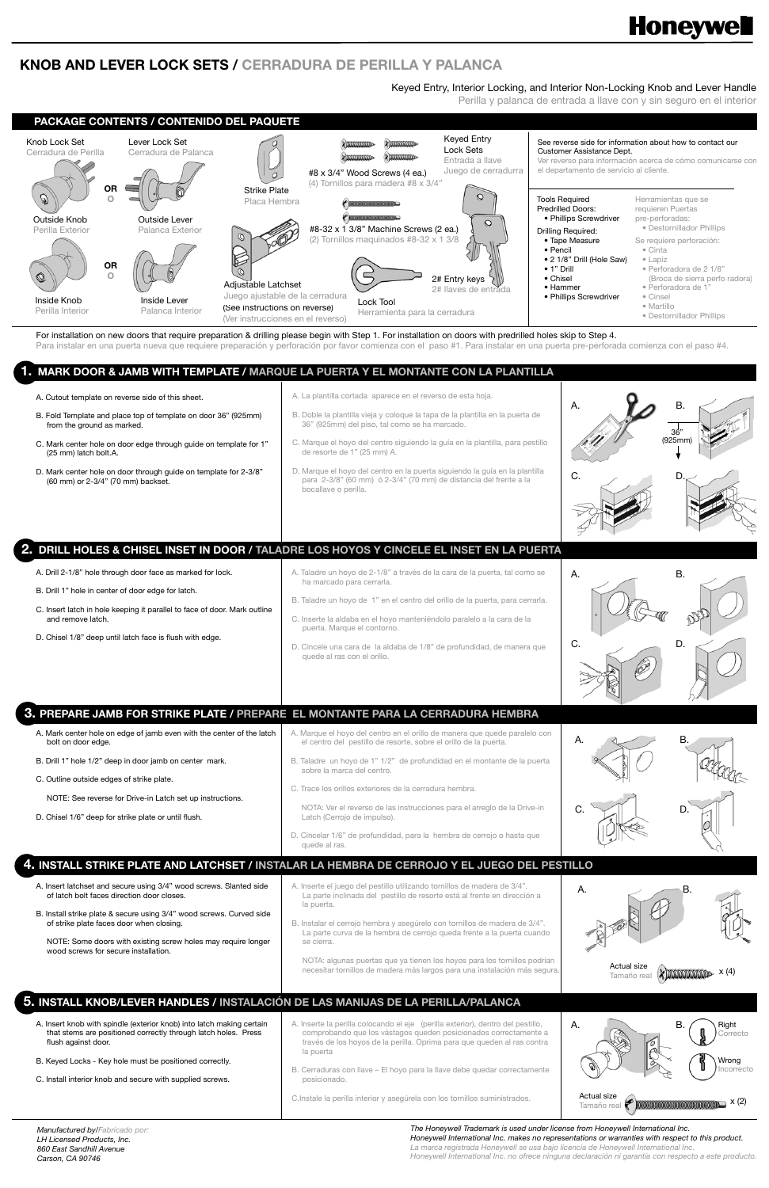For installation on new doors that require preparation & drilling please begin with Step 1. For installation on doors with predrilled holes skip to Step 4. Para instalar en una puerta nueva que requiere preparación y perforación por favor comienza con el paso #1. Para instalar en una puerta pre-perforada comienza con el paso #4.

Keyed Entry, Interior Locking, and Interior Non-Locking Knob and Lever Handle

Perilla y palanca de entrada a llave con y sin seguro en el interior

# **Honeywell**

## **KNOB AND LEVER LOCK SETS / CERRADURA DE PERILLA Y PALANCA**

#### A. Cutout template on reverse side of this sheet.

*Manufactured by/Fabricado por: LH Licensed Products, Inc. 860 East Sandhill Avenue Carson, CA 90746*



- A. Insert knob with spindle (exterior knob) into latch making certain that stems are positioned correctly through latch holes. Press flush against door.
- B. Keyed Locks Key hole must be positioned correctly.
- C. Install interior knob and secure with supplied screws.
- A. Inserte la perilla colocando el eje (perilla exterior), dentro del pestillo, comprobando que los vástagos queden posicionados correctamente a través de los hoyos de la perilla. Oprima para que queden al ras contra la puerta
- B. Cerraduras con llave El hoyo para la llave debe quedar correctamente posicionado.

*The Honeywell Trademark is used under license from Honeywell International Inc. Honeywell International Inc. makes no representations or warranties with respect to this product.* La marca registrada Honeywell se usa bajo licencia de Honeywell International Inc. *Honeywell International Inc. no ofrece ninguna declaración ni garantía con respecto a este producto.*

- A. Mark center hole on edge of jamb even with the center of the latch bolt on door edge.
- B. Drill 1" hole 1/2" deep in door jamb on center mark.
- C. Outline outside edges of strike plate.
	- NOTE: See reverse for Drive-in Latch set up instructions.
- D. Chisel 1/6" deep for strike plate or until flush.
- D. Cincelar 1/6" de profundidad, para la hembra de cerrojo o hasta que quede al ras.

C.Instale la perilla interior y asegúrela con los tornillos suministrados.

- A. Drill 2-1/8" hole through door face as marked for lock.
- B. Drill 1" hole in center of door edge for latch.
- C. Insert latch in hole keeping it parallel to face of door. Mark outline and remove latch.
- D. Chisel 1/8" deep until latch face is flush with edge.
- A. Taladre un hoyo de 2-1/8" a través de la cara de la puerta, tal como se ha marcado para cerrarla.
- B. Taladre un hoyo de 1" en el centro del orillo de la puerta, para cerrarla.
- C. Inserte la aldaba en el hoyo manteniéndolo paralelo a la cara de la puerta. Marque el contorno.
- D. Cincele una cara de la aldaba de 1/8" de profundidad, de manera que quede al ras con el orillo.

A. Marque el hoyo del centro en el orillo de manera que quede paralelo con

el centro del pestillo de resorte, sobre el orillo de la puerta.

B. Taladre un hoyo de 1" 1/2" de profundidad en el montante de la puerta

sobre la marca del centro.

C. Trace los orillos exteriores de la cerradura hembra.

NOTA: Ver el reverso de las instrucciones para el arreglo de la Drive-in

Latch (Cerrojo de impulso).

- A. Insert latchset and secure using 3/4" wood screws. Slanted side of latch bolt faces direction door closes.
- B. Install strike plate & secure using 3/4" wood screws. Curved side of strike plate faces door when closing.
	- NOTE: Some doors with existing screw holes may require longer wood screws for secure installation.
- A. Inserte el juego del pestillo utilizando tornillos de madera de 3/4". La parte inclinada del pestillo de resorte está al frente en dirección a la puerta.
- B. Instalar el cerrojo hembra y asegúrelo con tornillos de madera de 3/4". La parte curva de la hembra de cerrojo queda frente a la puerta cuando se cierra.

NOTA: algunas puertas que ya tienen los hoyos para los tornillos podrían necesitar tornillos de madera más largos para una instalación más segura.

- A. La plantilla cortada aparece en el reverso de esta hoja.
- B. Fold Template and place top of template on door 36" (925mm) from the ground as marked.
- C. Mark center hole on door edge through guide on template for 1" (25 mm) latch bolt.A.
- D. Mark center hole on door through guide on template for 2-3/8" (60 mm) or 2-3/4" (70 mm) backset.
- B. Doble la plantilla vieja y coloque la tapa de la plantilla en la puerta de
- 36" (925mm) del piso, tal como se ha marcado.
- C. Marque el hoyo del centro siguiendo la guía en la plantilla, para pestillo de resorte de 1" (25 mm) A.
- D. Marque el hoyo del centro en la puerta siguiendo la guía en la plantilla para 2-3/8" (60 mm) ó 2-3/4" (70 mm) de distancia del frente a la bocallave o perilla.

### **1. MARK DOOR & JAMB WITH TEMPLATE / MARQUE LA PUERTA Y EL MONTANTE CON LA PLANTILLA**

#### **2. DRILL HOLES & CHISEL INSET IN DOOR / TALADRE LOS HOYOS Y CINCELE EL INSET EN LA PUERTA**

**4. INSTALL STRIKE PLATE AND LATCHSET / INSTALAR LA HEMBRA DE CERROJO Y EL JUEGO DEL PESTILLO**

### **5. INSTALL KNOB/LEVER HANDLES / INSTALACIÓN DE LAS MANIJAS DE LA PERILLA/PALANCA**

## **3. PREPARE JAMB FOR STRIKE PLATE / PREPARE EL MONTANTE PARA LA CERRADURA HEMBRA**